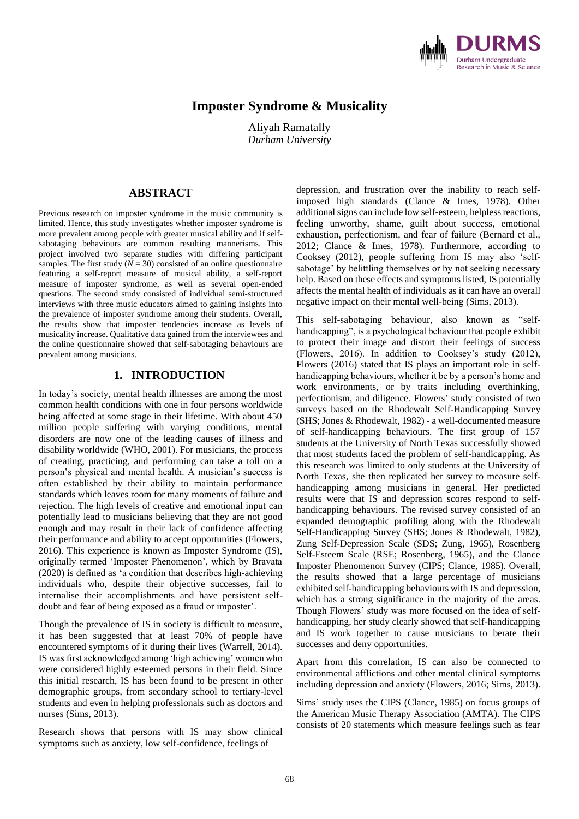

# **Imposter Syndrome & Musicality**

Aliyah Ramatally *Durham University*

## **ABSTRACT**

Previous research on imposter syndrome in the music community is limited. Hence, this study investigates whether imposter syndrome is more prevalent among people with greater musical ability and if selfsabotaging behaviours are common resulting mannerisms. This project involved two separate studies with differing participant samples. The first study  $(N = 30)$  consisted of an online questionnaire featuring a self-report measure of musical ability, a self-report measure of imposter syndrome, as well as several open-ended questions. The second study consisted of individual semi-structured interviews with three music educators aimed to gaining insights into the prevalence of imposter syndrome among their students. Overall, the results show that imposter tendencies increase as levels of musicality increase. Qualitative data gained from the interviewees and the online questionnaire showed that self-sabotaging behaviours are prevalent among musicians.

## **1. INTRODUCTION**

In today's society, mental health illnesses are among the most common health conditions with one in four persons worldwide being affected at some stage in their lifetime. With about 450 million people suffering with varying conditions, mental disorders are now one of the leading causes of illness and disability worldwide (WHO, 2001). For musicians, the process of creating, practicing, and performing can take a toll on a person's physical and mental health. A musician's success is often established by their ability to maintain performance standards which leaves room for many moments of failure and rejection. The high levels of creative and emotional input can potentially lead to musicians believing that they are not good enough and may result in their lack of confidence affecting their performance and ability to accept opportunities (Flowers, 2016). This experience is known as Imposter Syndrome (IS), originally termed 'Imposter Phenomenon', which by Bravata (2020) is defined as 'a condition that describes high-achieving individuals who, despite their objective successes, fail to internalise their accomplishments and have persistent selfdoubt and fear of being exposed as a fraud or imposter'.

Though the prevalence of IS in society is difficult to measure, it has been suggested that at least 70% of people have encountered symptoms of it during their lives (Warrell, 2014). IS was first acknowledged among 'high achieving' women who were considered highly esteemed persons in their field. Since this initial research, IS has been found to be present in other demographic groups, from secondary school to tertiary-level students and even in helping professionals such as doctors and nurses (Sims, 2013).

Research shows that persons with IS may show clinical symptoms such as anxiety, low self-confidence, feelings of

depression, and frustration over the inability to reach selfimposed high standards (Clance & Imes, 1978). Other additional signs can include low self-esteem, helpless reactions, feeling unworthy, shame, guilt about success, emotional exhaustion, perfectionism, and fear of failure (Bernard et al., 2012; Clance & Imes, 1978). Furthermore, according to Cooksey (2012), people suffering from IS may also 'selfsabotage' by belittling themselves or by not seeking necessary help. Based on these effects and symptoms listed, IS potentially affects the mental health of individuals as it can have an overall negative impact on their mental well-being (Sims, 2013).

This self-sabotaging behaviour, also known as "selfhandicapping", is a psychological behaviour that people exhibit to protect their image and distort their feelings of success (Flowers, 2016). In addition to Cooksey's study (2012), Flowers (2016) stated that IS plays an important role in selfhandicapping behaviours, whether it be by a person's home and work environments, or by traits including overthinking, perfectionism, and diligence. Flowers' study consisted of two surveys based on the Rhodewalt Self-Handicapping Survey (SHS; Jones & Rhodewalt, 1982) - a well-documented measure of self-handicapping behaviours. The first group of 157 students at the University of North Texas successfully showed that most students faced the problem of self-handicapping. As this research was limited to only students at the University of North Texas, she then replicated her survey to measure selfhandicapping among musicians in general. Her predicted results were that IS and depression scores respond to selfhandicapping behaviours. The revised survey consisted of an expanded demographic profiling along with the Rhodewalt Self-Handicapping Survey (SHS; Jones & Rhodewalt, 1982), Zung Self-Depression Scale (SDS; Zung, 1965), Rosenberg Self-Esteem Scale (RSE; Rosenberg, 1965), and the Clance Imposter Phenomenon Survey (CIPS; Clance, 1985). Overall, the results showed that a large percentage of musicians exhibited self-handicapping behaviours with IS and depression, which has a strong significance in the majority of the areas. Though Flowers' study was more focused on the idea of selfhandicapping, her study clearly showed that self-handicapping and IS work together to cause musicians to berate their successes and deny opportunities.

Apart from this correlation, IS can also be connected to environmental afflictions and other mental clinical symptoms including depression and anxiety (Flowers, 2016; Sims, 2013).

Sims' study uses the CIPS (Clance, 1985) on focus groups of the American Music Therapy Association (AMTA). The CIPS consists of 20 statements which measure feelings such as fear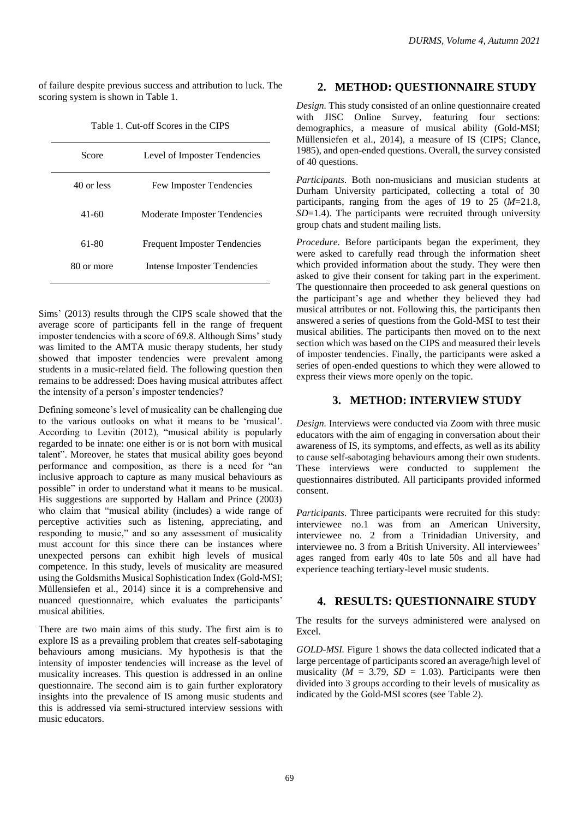of failure despite previous success and attribution to luck. The scoring system is shown in Table 1.

Table 1. Cut-off Scores in the CIPS

| Score      | Level of Imposter Tendencies        |  |
|------------|-------------------------------------|--|
| 40 or less | <b>Few Imposter Tendencies</b>      |  |
| 41-60      | Moderate Imposter Tendencies        |  |
| 61-80      | <b>Frequent Imposter Tendencies</b> |  |
| 80 or more | <b>Intense Imposter Tendencies</b>  |  |

Sims' (2013) results through the CIPS scale showed that the average score of participants fell in the range of frequent imposter tendencies with a score of 69.8. Although Sims' study was limited to the AMTA music therapy students, her study showed that imposter tendencies were prevalent among students in a music-related field. The following question then remains to be addressed: Does having musical attributes affect the intensity of a person's imposter tendencies?

Defining someone's level of musicality can be challenging due to the various outlooks on what it means to be 'musical'. According to Levitin (2012), "musical ability is popularly regarded to be innate: one either is or is not born with musical talent". Moreover, he states that musical ability goes beyond performance and composition, as there is a need for "an inclusive approach to capture as many musical behaviours as possible" in order to understand what it means to be musical. His suggestions are supported by Hallam and Prince (2003) who claim that "musical ability (includes) a wide range of perceptive activities such as listening, appreciating, and responding to music," and so any assessment of musicality must account for this since there can be instances where unexpected persons can exhibit high levels of musical competence. In this study, levels of musicality are measured using the Goldsmiths Musical Sophistication Index (Gold-MSI; Müllensiefen et al., 2014) since it is a comprehensive and nuanced questionnaire, which evaluates the participants' musical abilities.

There are two main aims of this study. The first aim is to explore IS as a prevailing problem that creates self-sabotaging behaviours among musicians. My hypothesis is that the intensity of imposter tendencies will increase as the level of musicality increases. This question is addressed in an online questionnaire. The second aim is to gain further exploratory insights into the prevalence of IS among music students and this is addressed via semi-structured interview sessions with music educators.

## **2. METHOD: QUESTIONNAIRE STUDY**

*Design.* This study consisted of an online questionnaire created with JISC Online Survey, featuring four sections: demographics, a measure of musical ability (Gold-MSI; Müllensiefen et al., 2014), a measure of IS (CIPS; Clance, 1985), and open-ended questions. Overall, the survey consisted of 40 questions.

*Participants.* Both non-musicians and musician students at Durham University participated, collecting a total of 30 participants, ranging from the ages of 19 to 25 (*M*=21.8, *SD*=1.4). The participants were recruited through university group chats and student mailing lists.

*Procedure.* Before participants began the experiment, they were asked to carefully read through the information sheet which provided information about the study. They were then asked to give their consent for taking part in the experiment. The questionnaire then proceeded to ask general questions on the participant's age and whether they believed they had musical attributes or not. Following this, the participants then answered a series of questions from the Gold-MSI to test their musical abilities. The participants then moved on to the next section which was based on the CIPS and measured their levels of imposter tendencies. Finally, the participants were asked a series of open-ended questions to which they were allowed to express their views more openly on the topic.

## **3. METHOD: INTERVIEW STUDY**

*Design.* Interviews were conducted via Zoom with three music educators with the aim of engaging in conversation about their awareness of IS, its symptoms, and effects, as well as its ability to cause self-sabotaging behaviours among their own students. These interviews were conducted to supplement the questionnaires distributed. All participants provided informed consent.

*Participants.* Three participants were recruited for this study: interviewee no.1 was from an American University, interviewee no. 2 from a Trinidadian University, and interviewee no. 3 from a British University. All interviewees' ages ranged from early 40s to late 50s and all have had experience teaching tertiary-level music students.

### **4. RESULTS: QUESTIONNAIRE STUDY**

The results for the surveys administered were analysed on Excel.

*GOLD-MSI.* Figure 1 shows the data collected indicated that a large percentage of participants scored an average/high level of musicality ( $M = 3.79$ ,  $SD = 1.03$ ). Participants were then divided into 3 groups according to their levels of musicality as indicated by the Gold-MSI scores (see Table 2).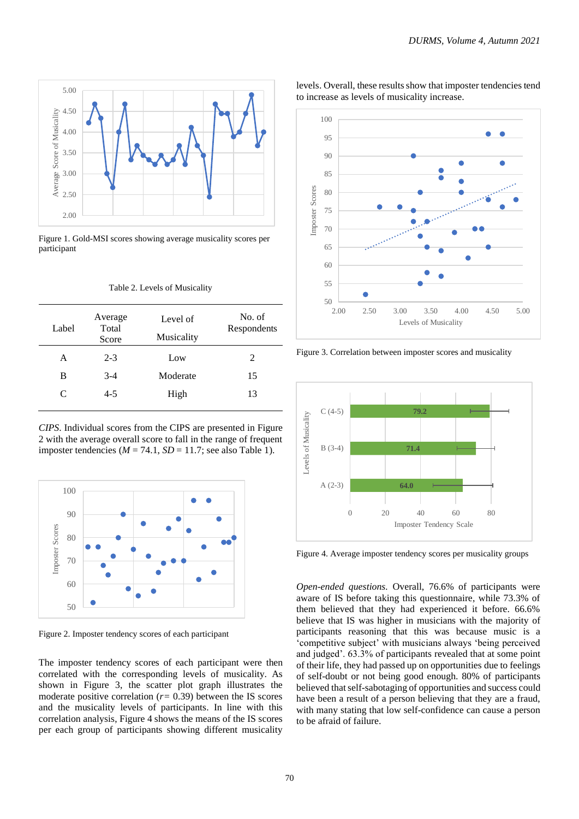

Figure 1. Gold-MSI scores showing average musicality scores per participant

| Table 2. Levels of Musicality |  |
|-------------------------------|--|
|-------------------------------|--|

| Label | Average<br>Total<br>Score | Level of<br>Musicality | No. of<br>Respondents |
|-------|---------------------------|------------------------|-----------------------|
| A     | $2 - 3$                   | Low                    | 2                     |
| B     | $3-4$                     | Moderate               | 15                    |
| C     | $4 - 5$                   | High                   | 13                    |
|       |                           |                        |                       |

*CIPS*. Individual scores from the CIPS are presented in Figure 2 with the average overall score to fall in the range of frequent imposter tendencies ( $M = 74.1$ ,  $SD = 11.7$ ; see also Table 1).



Figure 2. Imposter tendency scores of each participant

The imposter tendency scores of each participant were then correlated with the corresponding levels of musicality. As shown in Figure 3, the scatter plot graph illustrates the moderate positive correlation (*r=* 0.39) between the IS scores and the musicality levels of participants. In line with this correlation analysis, Figure 4 shows the means of the IS scores per each group of participants showing different musicality levels. Overall, these results show that imposter tendencies tend to increase as levels of musicality increase.



Figure 3. Correlation between imposter scores and musicality



Figure 4. Average imposter tendency scores per musicality groups

*Open-ended questions.* Overall, 76.6% of participants were aware of IS before taking this questionnaire, while 73.3% of them believed that they had experienced it before. 66.6% believe that IS was higher in musicians with the majority of participants reasoning that this was because music is a 'competitive subject' with musicians always 'being perceived and judged'. 63.3% of participants revealed that at some point of their life, they had passed up on opportunities due to feelings of self-doubt or not being good enough. 80% of participants believed that self-sabotaging of opportunities and success could have been a result of a person believing that they are a fraud, with many stating that low self-confidence can cause a person to be afraid of failure.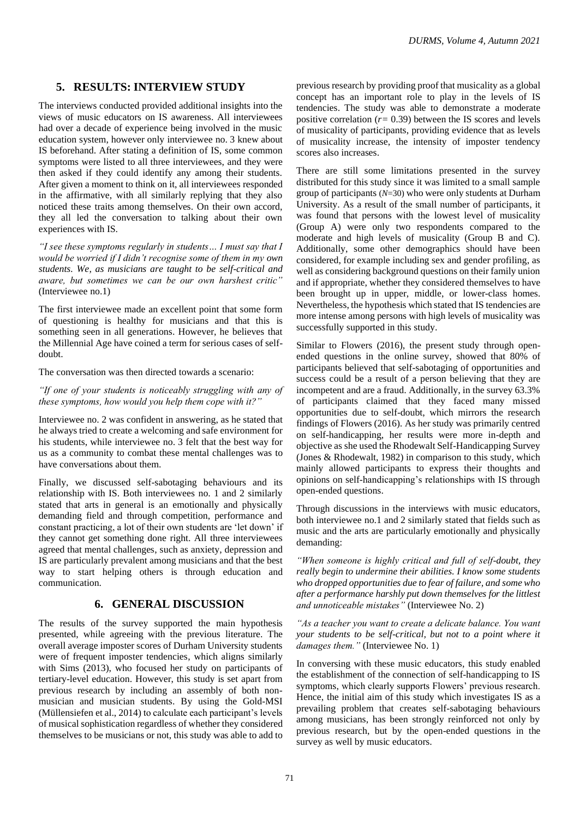## **5. RESULTS: INTERVIEW STUDY**

The interviews conducted provided additional insights into the views of music educators on IS awareness. All interviewees had over a decade of experience being involved in the music education system, however only interviewee no. 3 knew about IS beforehand. After stating a definition of IS, some common symptoms were listed to all three interviewees, and they were then asked if they could identify any among their students. After given a moment to think on it, all interviewees responded in the affirmative, with all similarly replying that they also noticed these traits among themselves. On their own accord, they all led the conversation to talking about their own experiences with IS.

*"I see these symptoms regularly in students… I must say that I would be worried if I didn't recognise some of them in my own students. We, as musicians are taught to be self-critical and aware, but sometimes we can be our own harshest critic"* (Interviewee no.1)

The first interviewee made an excellent point that some form of questioning is healthy for musicians and that this is something seen in all generations. However, he believes that the Millennial Age have coined a term for serious cases of selfdoubt.

The conversation was then directed towards a scenario:

*"If one of your students is noticeably struggling with any of these symptoms, how would you help them cope with it?"*

Interviewee no. 2 was confident in answering, as he stated that he always tried to create a welcoming and safe environment for his students, while interviewee no. 3 felt that the best way for us as a community to combat these mental challenges was to have conversations about them.

Finally, we discussed self-sabotaging behaviours and its relationship with IS. Both interviewees no. 1 and 2 similarly stated that arts in general is an emotionally and physically demanding field and through competition, performance and constant practicing, a lot of their own students are 'let down' if they cannot get something done right. All three interviewees agreed that mental challenges, such as anxiety, depression and IS are particularly prevalent among musicians and that the best way to start helping others is through education and communication.

### **6. GENERAL DISCUSSION**

The results of the survey supported the main hypothesis presented, while agreeing with the previous literature. The overall average imposter scores of Durham University students were of frequent imposter tendencies, which aligns similarly with Sims (2013), who focused her study on participants of tertiary-level education. However, this study is set apart from previous research by including an assembly of both nonmusician and musician students. By using the Gold-MSI (Müllensiefen et al., 2014) to calculate each participant's levels of musical sophistication regardless of whether they considered themselves to be musicians or not, this study was able to add to previous research by providing proof that musicality as a global concept has an important role to play in the levels of IS tendencies. The study was able to demonstrate a moderate positive correlation (*r=* 0.39) between the IS scores and levels of musicality of participants, providing evidence that as levels of musicality increase, the intensity of imposter tendency scores also increases.

There are still some limitations presented in the survey distributed for this study since it was limited to a small sample group of participants (*N*=30) who were only students at Durham University. As a result of the small number of participants, it was found that persons with the lowest level of musicality (Group A) were only two respondents compared to the moderate and high levels of musicality (Group B and C). Additionally, some other demographics should have been considered, for example including sex and gender profiling, as well as considering background questions on their family union and if appropriate, whether they considered themselves to have been brought up in upper, middle, or lower-class homes. Nevertheless, the hypothesis which stated that IS tendencies are more intense among persons with high levels of musicality was successfully supported in this study.

Similar to Flowers (2016), the present study through openended questions in the online survey, showed that 80% of participants believed that self-sabotaging of opportunities and success could be a result of a person believing that they are incompetent and are a fraud. Additionally, in the survey 63.3% of participants claimed that they faced many missed opportunities due to self-doubt, which mirrors the research findings of Flowers (2016). As her study was primarily centred on self-handicapping, her results were more in-depth and objective as she used the Rhodewalt Self-Handicapping Survey (Jones & Rhodewalt, 1982) in comparison to this study, which mainly allowed participants to express their thoughts and opinions on self-handicapping's relationships with IS through open-ended questions.

Through discussions in the interviews with music educators, both interviewee no.1 and 2 similarly stated that fields such as music and the arts are particularly emotionally and physically demanding:

*"When someone is highly critical and full of self-doubt, they really begin to undermine their abilities. I know some students who dropped opportunities due to fear of failure, and some who after a performance harshly put down themselves for the littlest and unnoticeable mistakes"* (Interviewee No. 2)

*"As a teacher you want to create a delicate balance. You want your students to be self-critical, but not to a point where it damages them."* (Interviewee No. 1)

In conversing with these music educators, this study enabled the establishment of the connection of self-handicapping to IS symptoms, which clearly supports Flowers' previous research. Hence, the initial aim of this study which investigates IS as a prevailing problem that creates self-sabotaging behaviours among musicians, has been strongly reinforced not only by previous research, but by the open-ended questions in the survey as well by music educators.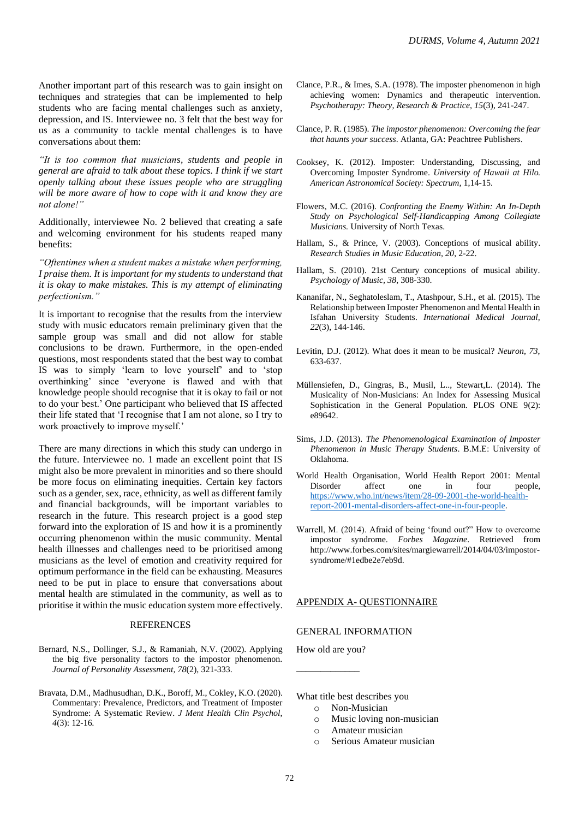Another important part of this research was to gain insight on techniques and strategies that can be implemented to help students who are facing mental challenges such as anxiety, depression, and IS. Interviewee no. 3 felt that the best way for us as a community to tackle mental challenges is to have conversations about them:

*"It is too common that musicians, students and people in general are afraid to talk about these topics. I think if we start openly talking about these issues people who are struggling will be more aware of how to cope with it and know they are not alone!"*

Additionally, interviewee No. 2 believed that creating a safe and welcoming environment for his students reaped many benefits:

*"Oftentimes when a student makes a mistake when performing, I praise them. It is important for my students to understand that it is okay to make mistakes. This is my attempt of eliminating perfectionism."*

It is important to recognise that the results from the interview study with music educators remain preliminary given that the sample group was small and did not allow for stable conclusions to be drawn. Furthermore, in the open-ended questions, most respondents stated that the best way to combat IS was to simply 'learn to love yourself' and to 'stop overthinking' since 'everyone is flawed and with that knowledge people should recognise that it is okay to fail or not to do your best.' One participant who believed that IS affected their life stated that 'I recognise that I am not alone, so I try to work proactively to improve myself.'

There are many directions in which this study can undergo in the future. Interviewee no. 1 made an excellent point that IS might also be more prevalent in minorities and so there should be more focus on eliminating inequities. Certain key factors such as a gender, sex, race, ethnicity, as well as different family and financial backgrounds, will be important variables to research in the future. This research project is a good step forward into the exploration of IS and how it is a prominently occurring phenomenon within the music community. Mental health illnesses and challenges need to be prioritised among musicians as the level of emotion and creativity required for optimum performance in the field can be exhausting. Measures need to be put in place to ensure that conversations about mental health are stimulated in the community, as well as to prioritise it within the music education system more effectively.

#### REFERENCES

- Bernard, N.S., Dollinger, S.J., & Ramaniah, N.V. (2002). Applying the big five personality factors to the impostor phenomenon. *Journal of Personality Assessment, 78*(2), 321-333.
- Bravata, D.M., Madhusudhan, D.K., Boroff, M., Cokley, K.O. (2020). Commentary: Prevalence, Predictors, and Treatment of Imposter Syndrome: A Systematic Review. *J Ment Health Clin Psychol*, *4*(3): 12-16*.*
- Clance, P.R., & Imes, S.A. (1978). The imposter phenomenon in high achieving women: Dynamics and therapeutic intervention. *Psychotherapy: Theory, Research & Practice, 15*(3), 241-247.
- Clance, P. R. (1985). *The impostor phenomenon: Overcoming the fear that haunts your success*. Atlanta, GA: Peachtree Publishers.
- Cooksey, K. (2012). Imposter: Understanding, Discussing, and Overcoming Imposter Syndrome. *University of Hawaii at Hilo. American Astronomical Society: Spectrum,* 1,14-15.
- Flowers, M.C. (2016). *Confronting the Enemy Within: An In-Depth Study on Psychological Self-Handicapping Among Collegiate Musicians.* University of North Texas.
- Hallam, S., & Prince, V. (2003). Conceptions of musical ability. *Research Studies in Music Education, 20*, 2-22.
- Hallam, S. (2010). 21st Century conceptions of musical ability. *Psychology of Music, 38*, 308-330.
- Kananifar, N., Seghatoleslam, T., Atashpour, S.H., et al. (2015). The Relationship between Imposter Phenomenon and Mental Health in Isfahan University Students. *International Medical Journal*, *22*(3), 144-146.
- Levitin, D.J. (2012). What does it mean to be musical? *Neuron, 73*, 633-637.
- Müllensiefen, D., Gingras, B., Musil, L.., Stewart,L. (2014). The Musicality of Non-Musicians: An Index for Assessing Musical Sophistication in the General Population. PLOS ONE 9(2): e89642.
- Sims, J.D. (2013). *The Phenomenological Examination of Imposter Phenomenon in Music Therapy Students*. B.M.E: University of Oklahoma.
- World Health Organisation, World Health Report 2001: Mental Disorder affect one in four people, [https://www.who.int/news/item/28-09-2001-the-world-health](https://www.who.int/news/item/28-09-2001-the-world-health-report-2001-mental-disorders-affect-one-in-four-people)[report-2001-mental-disorders-affect-one-in-four-people.](https://www.who.int/news/item/28-09-2001-the-world-health-report-2001-mental-disorders-affect-one-in-four-people)
- Warrell, M. (2014). Afraid of being 'found out?" How to overcome impostor syndrome. *Forbes Magazine*. Retrieved from http://www.forbes.com/sites/margiewarrell/2014/04/03/impostorsyndrome/#1edbe2e7eb9d.

#### APPENDIX A- QUESTIONNAIRE

#### GENERAL INFORMATION

How old are you? \_\_\_\_\_\_\_\_\_\_\_\_\_

What title best describes you

- o Non-Musician
- o Music loving non-musician
- o Amateur musician

o Serious Amateur musician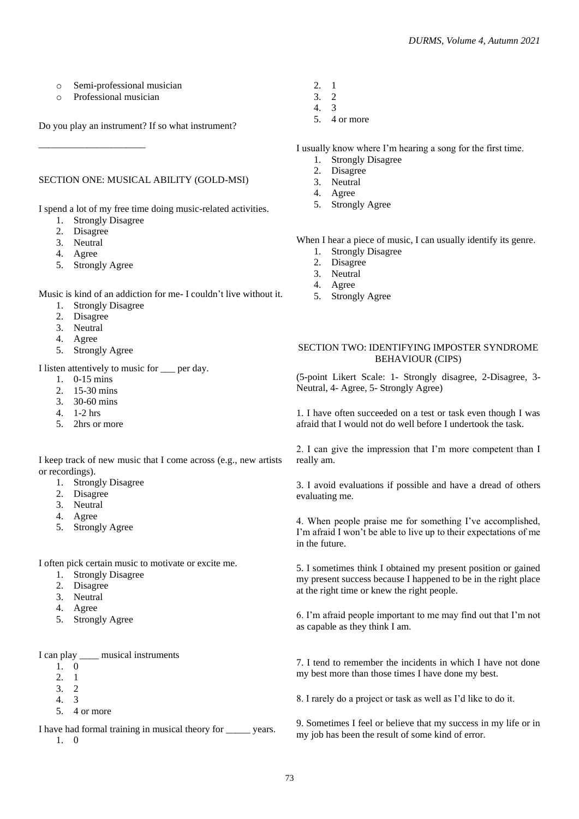- o Semi-professional musician
- o Professional musician

Do you play an instrument? If so what instrument?

#### SECTION ONE: MUSICAL ABILITY (GOLD-MSI)

I spend a lot of my free time doing music-related activities.

1. Strongly Disagree

\_\_\_\_\_\_\_\_\_\_\_\_\_\_\_\_\_\_\_\_\_\_

- 2. Disagree
- 3. Neutral
- 4. Agree
- 5. Strongly Agree

Music is kind of an addiction for me- I couldn't live without it.

- 1. Strongly Disagree
- 2. Disagree
- 3. Neutral
- 4. Agree
- 5. Strongly Agree

I listen attentively to music for \_\_\_ per day.

- 1. 0-15 mins
- 2. 15-30 mins
- 3. 30-60 mins
- 4. 1-2 hrs
- 5. 2hrs or more

I keep track of new music that I come across (e.g., new artists or recordings).

- 1. Strongly Disagree
- 2. Disagree
- 3. Neutral
- 4. Agree
- 5. Strongly Agree

I often pick certain music to motivate or excite me.

- 1. Strongly Disagree
- 2. Disagree
- 3. Neutral
- 4. Agree
- 5. Strongly Agree

I can play \_\_\_\_\_ musical instruments

- 1. 0
- 2. 1
- 3. 2
- 4. 3
- 5. 4 or more

I have had formal training in musical theory for years. 1. 0

- 2. 1
- 3. 2 4. 3
- 
- 5. 4 or more

I usually know where I'm hearing a song for the first time.

- 1. Strongly Disagree
- 2. Disagree
- 3. Neutral
- 4. Agree
- 5. Strongly Agree

When I hear a piece of music, I can usually identify its genre.

- 1. Strongly Disagree
- 2. Disagree
- 3. Neutral
- 4. Agree
- 5. Strongly Agree

### SECTION TWO: IDENTIFYING IMPOSTER SYNDROME BEHAVIOUR (CIPS)

(5-point Likert Scale: 1- Strongly disagree, 2-Disagree, 3- Neutral, 4- Agree, 5- Strongly Agree)

1. I have often succeeded on a test or task even though I was afraid that I would not do well before I undertook the task.

2. I can give the impression that I'm more competent than I really am.

3. I avoid evaluations if possible and have a dread of others evaluating me.

4. When people praise me for something I've accomplished, I'm afraid I won't be able to live up to their expectations of me in the future.

5. I sometimes think I obtained my present position or gained my present success because I happened to be in the right place at the right time or knew the right people.

6. I'm afraid people important to me may find out that I'm not as capable as they think I am.

7. I tend to remember the incidents in which I have not done my best more than those times I have done my best.

8. I rarely do a project or task as well as I'd like to do it.

9. Sometimes I feel or believe that my success in my life or in my job has been the result of some kind of error.